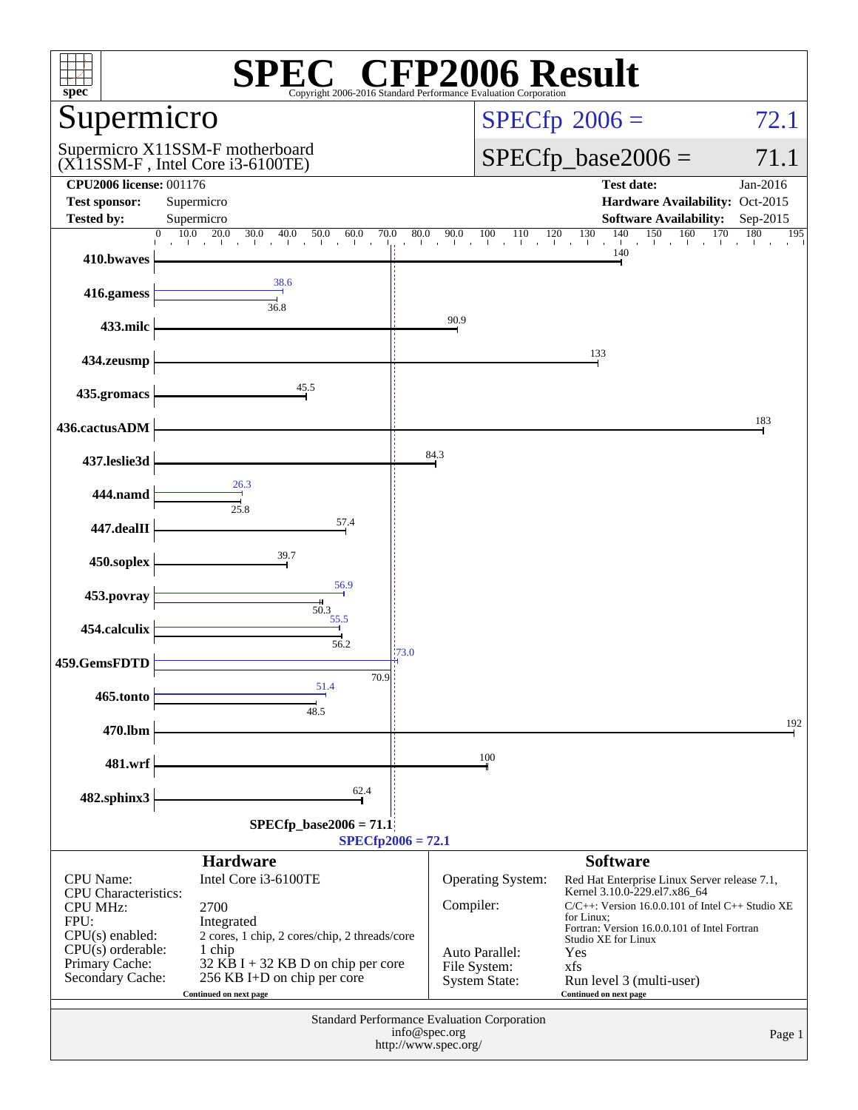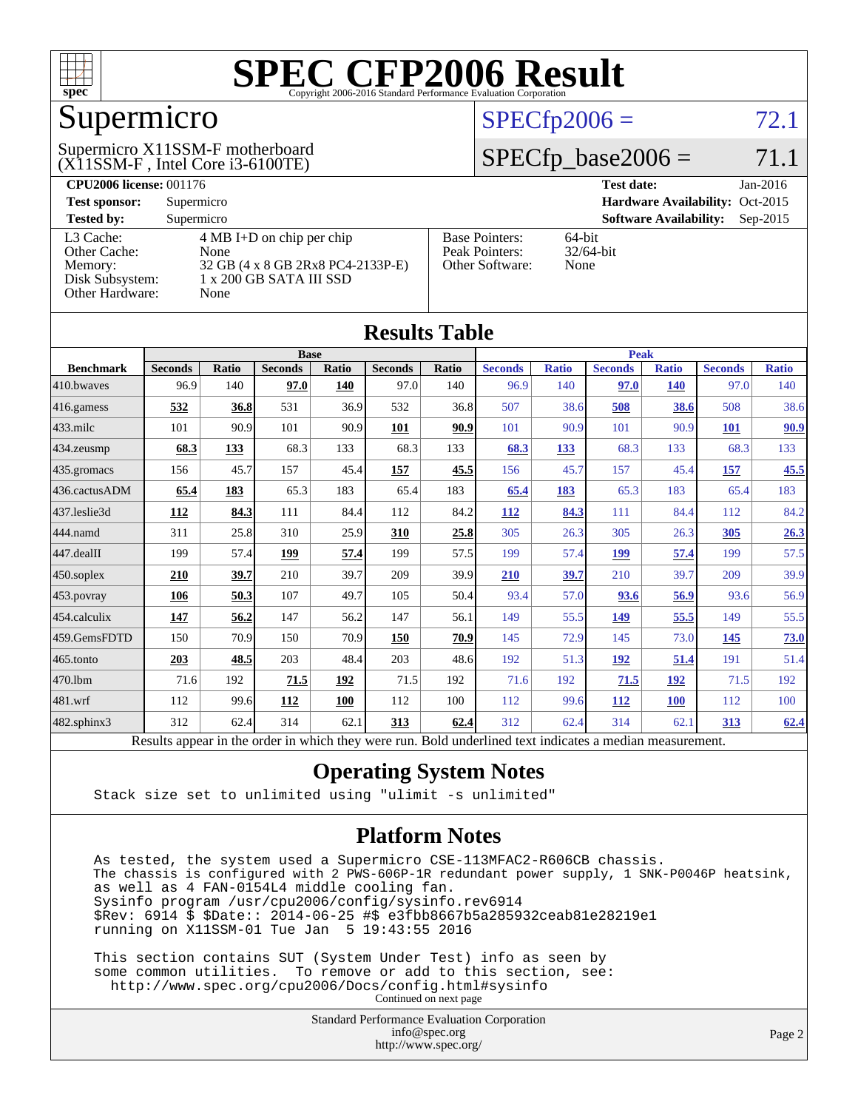

### Supermicro

#### (X11SSM-F , Intel Core i3-6100TE) Supermicro X11SSM-F motherboard

#### $SPECfp2006 = 72.1$  $SPECfp2006 = 72.1$

#### $SPECfp\_base2006 = 71.1$

| <b>CPU2006 license: 001176</b> |                                     |                                 | <b>Test date:</b><br>$Jan-2016$             |
|--------------------------------|-------------------------------------|---------------------------------|---------------------------------------------|
| <b>Test sponsor:</b>           | Supermicro                          | Hardware Availability: Oct-2015 |                                             |
| <b>Tested by:</b>              | Supermicro                          |                                 | <b>Software Availability:</b><br>$Sep-2015$ |
| L3 Cache:                      | $4 \text{ MB I+D}$ on chip per chip | <b>Base Pointers:</b>           | $64$ -bit                                   |
| Other Cache:                   | None                                | Peak Pointers:                  | $32/64$ -bit                                |
| Memory:                        | 32 GB (4 x 8 GB 2Rx8 PC4-2133P-E)   | Other Software:                 | None                                        |
| Disk Subsystem:                | $1 \times 200$ GB SATA III SSD      |                                 |                                             |
| <b>Other Hardware:</b>         | None                                |                                 |                                             |

**[Results Table](http://www.spec.org/auto/cpu2006/Docs/result-fields.html#ResultsTable)**

| Results Table    |                                                                                                          |       |                |       |                |       |                |              |                |              |                |              |
|------------------|----------------------------------------------------------------------------------------------------------|-------|----------------|-------|----------------|-------|----------------|--------------|----------------|--------------|----------------|--------------|
|                  | <b>Base</b>                                                                                              |       |                |       |                |       | <b>Peak</b>    |              |                |              |                |              |
| <b>Benchmark</b> | <b>Seconds</b>                                                                                           | Ratio | <b>Seconds</b> | Ratio | <b>Seconds</b> | Ratio | <b>Seconds</b> | <b>Ratio</b> | <b>Seconds</b> | <b>Ratio</b> | <b>Seconds</b> | <b>Ratio</b> |
| 410.bwayes       | 96.9                                                                                                     | 140   | 97.0           | 140   | 97.0           | 140   | 96.9           | 140          | 97.0           | <b>140</b>   | 97.0           | 140          |
| 416.gamess       | 532                                                                                                      | 36.8  | 531            | 36.9  | 532            | 36.8  | 507            | 38.6         | 508            | 38.6         | 508            | 38.6         |
| $433$ .milc      | 101                                                                                                      | 90.9  | 101            | 90.9  | 101            | 90.9  | 101            | 90.9         | 101            | 90.9         | 101            | 90.9         |
| 434.zeusmp       | 68.3                                                                                                     | 133   | 68.3           | 133   | 68.3           | 133   | 68.3           | 133          | 68.3           | 133          | 68.3           | 133          |
| 435.gromacs      | 156                                                                                                      | 45.7  | 157            | 45.4  | 157            | 45.5  | 156            | 45.7         | 157            | 45.4         | <u>157</u>     | 45.5         |
| 436.cactusADM    | 65.4                                                                                                     | 183   | 65.3           | 183   | 65.4           | 183   | 65.4           | 183          | 65.3           | 183          | 65.4           | 183          |
| 437.leslie3d     | <b>112</b>                                                                                               | 84.3  | 111            | 84.4  | 112            | 84.2  | <b>112</b>     | 84.3         | 111            | 84.4         | 112            | 84.2         |
| 444.namd         | 311                                                                                                      | 25.8  | 310            | 25.9  | 310            | 25.8  | 305            | 26.3         | 305            | 26.3         | 305            | 26.3         |
| 447.dealII       | 199                                                                                                      | 57.4  | 199            | 57.4  | 199            | 57.5  | 199            | 57.4         | 199            | 57.4         | 199            | 57.5         |
| $450$ .soplex    | 210                                                                                                      | 39.7  | 210            | 39.7  | 209            | 39.9  | 210            | 39.7         | 210            | 39.7         | 209            | 39.9         |
| 453.povray       | 106                                                                                                      | 50.3  | 107            | 49.7  | 105            | 50.4  | 93.4           | 57.0         | 93.6           | 56.9         | 93.6           | 56.9         |
| $ 454$ .calculix | 147                                                                                                      | 56.2  | 147            | 56.2  | 147            | 56.1  | 149            | 55.5         | <u>149</u>     | 55.5         | 149            | 55.5         |
| 459.GemsFDTD     | 150                                                                                                      | 70.9  | 150            | 70.9  | 150            | 70.9  | 145            | 72.9         | 145            | 73.0         | 145            | 73.0         |
| $465$ .tonto     | 203                                                                                                      | 48.5  | 203            | 48.4  | 203            | 48.6  | 192            | 51.3         | 192            | 51.4         | 191            | 51.4         |
| 470.1bm          | 71.6                                                                                                     | 192   | 71.5           | 192   | 71.5           | 192   | 71.6           | 192          | 71.5           | 192          | 71.5           | 192          |
| 481.wrf          | 112                                                                                                      | 99.6  | 112            | 100   | 112            | 100   | 112            | 99.6         | <b>112</b>     | <b>100</b>   | 112            | 100          |
| 482.sphinx3      | 312                                                                                                      | 62.4  | 314            | 62.1  | 313            | 62.4  | 312            | 62.4         | 314            | 62.1         | 313            | 62.4         |
|                  | Results appear in the order in which they were run. Bold underlined text indicates a median measurement. |       |                |       |                |       |                |              |                |              |                |              |

#### **[Operating System Notes](http://www.spec.org/auto/cpu2006/Docs/result-fields.html#OperatingSystemNotes)**

Stack size set to unlimited using "ulimit -s unlimited"

#### **[Platform Notes](http://www.spec.org/auto/cpu2006/Docs/result-fields.html#PlatformNotes)**

 As tested, the system used a Supermicro CSE-113MFAC2-R606CB chassis. The chassis is configured with 2 PWS-606P-1R redundant power supply, 1 SNK-P0046P heatsink, as well as 4 FAN-0154L4 middle cooling fan. Sysinfo program /usr/cpu2006/config/sysinfo.rev6914 \$Rev: 6914 \$ \$Date:: 2014-06-25 #\$ e3fbb8667b5a285932ceab81e28219e1 running on X11SSM-01 Tue Jan 5 19:43:55 2016

 This section contains SUT (System Under Test) info as seen by some common utilities. To remove or add to this section, see: <http://www.spec.org/cpu2006/Docs/config.html#sysinfo> Continued on next page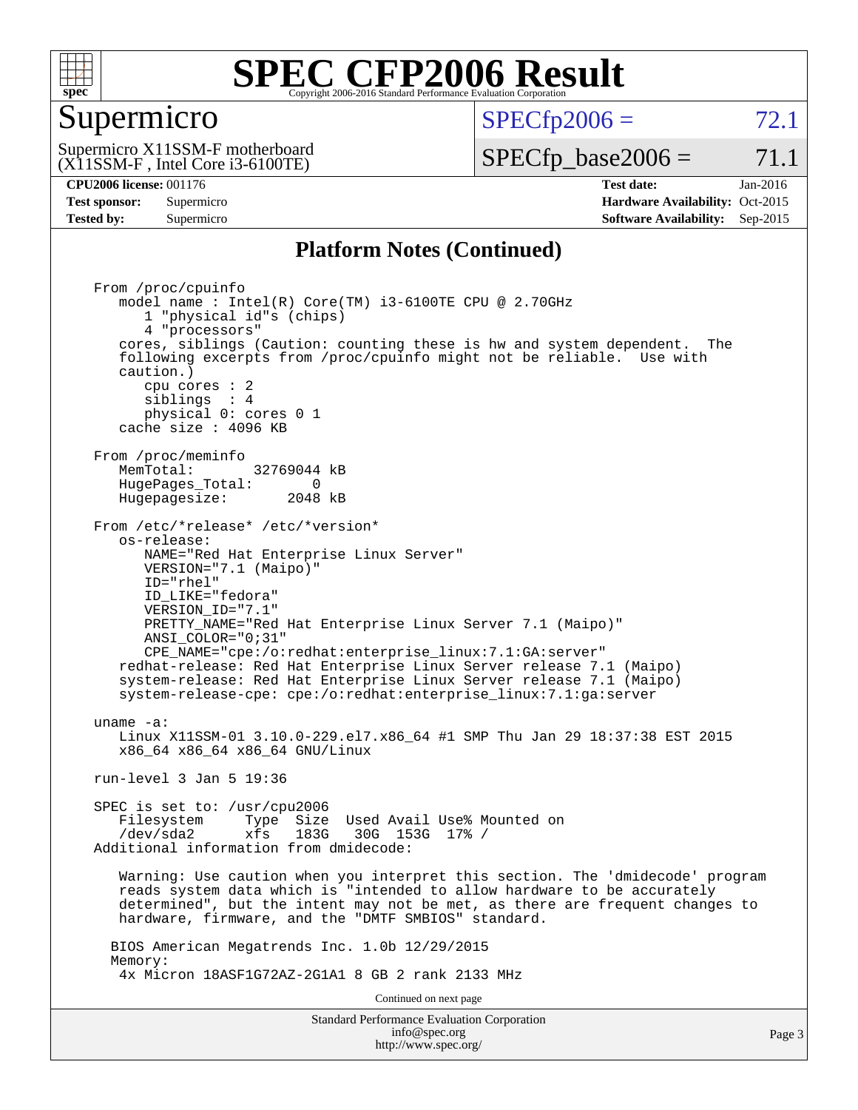

#### Supermicro

 $SPECTp2006 = 72.1$ 

(X11SSM-F , Intel Core i3-6100TE) Supermicro X11SSM-F motherboard  $SPECTp\_base2006 = 71.1$ 

**[CPU2006 license:](http://www.spec.org/auto/cpu2006/Docs/result-fields.html#CPU2006license)** 001176 **[Test date:](http://www.spec.org/auto/cpu2006/Docs/result-fields.html#Testdate)** Jan-2016 **[Test sponsor:](http://www.spec.org/auto/cpu2006/Docs/result-fields.html#Testsponsor)** Supermicro Supermicro **[Hardware Availability:](http://www.spec.org/auto/cpu2006/Docs/result-fields.html#HardwareAvailability)** Oct-2015 **[Tested by:](http://www.spec.org/auto/cpu2006/Docs/result-fields.html#Testedby)** Supermicro **Supermicro [Software Availability:](http://www.spec.org/auto/cpu2006/Docs/result-fields.html#SoftwareAvailability)** Sep-2015

#### **[Platform Notes \(Continued\)](http://www.spec.org/auto/cpu2006/Docs/result-fields.html#PlatformNotes)**

Standard Performance Evaluation Corporation From /proc/cpuinfo model name :  $Intel(R) Core(TM) i3-6100TE CPU @ 2.70GHz$  1 "physical id"s (chips) 4 "processors" cores, siblings (Caution: counting these is hw and system dependent. The following excerpts from /proc/cpuinfo might not be reliable. Use with caution.) cpu cores : 2 siblings : 4 physical 0: cores 0 1 cache size : 4096 KB From /proc/meminfo MemTotal: 32769044 kB HugePages\_Total: 0<br>Hugepagesize: 2048 kB Hugepagesize: From /etc/\*release\* /etc/\*version\* os-release: NAME="Red Hat Enterprise Linux Server" VERSION="7.1 (Maipo)" ID="rhel" ID\_LIKE="fedora" VERSION\_ID="7.1" PRETTY\_NAME="Red Hat Enterprise Linux Server 7.1 (Maipo)" ANSI\_COLOR="0;31" CPE\_NAME="cpe:/o:redhat:enterprise\_linux:7.1:GA:server" redhat-release: Red Hat Enterprise Linux Server release 7.1 (Maipo) system-release: Red Hat Enterprise Linux Server release 7.1 (Maipo) system-release-cpe: cpe:/o:redhat:enterprise\_linux:7.1:ga:server uname -a: Linux X11SSM-01 3.10.0-229.el7.x86\_64 #1 SMP Thu Jan 29 18:37:38 EST 2015 x86\_64 x86\_64 x86\_64 GNU/Linux run-level 3 Jan 5 19:36 SPEC is set to: /usr/cpu2006 Filesystem Type Size Used Avail Use% Mounted on /dev/sda2 xfs 183G 30G 153G 17% / Additional information from dmidecode: Warning: Use caution when you interpret this section. The 'dmidecode' program reads system data which is "intended to allow hardware to be accurately determined", but the intent may not be met, as there are frequent changes to hardware, firmware, and the "DMTF SMBIOS" standard. BIOS American Megatrends Inc. 1.0b 12/29/2015 Memory: 4x Micron 18ASF1G72AZ-2G1A1 8 GB 2 rank 2133 MHz Continued on next page

[info@spec.org](mailto:info@spec.org) <http://www.spec.org/>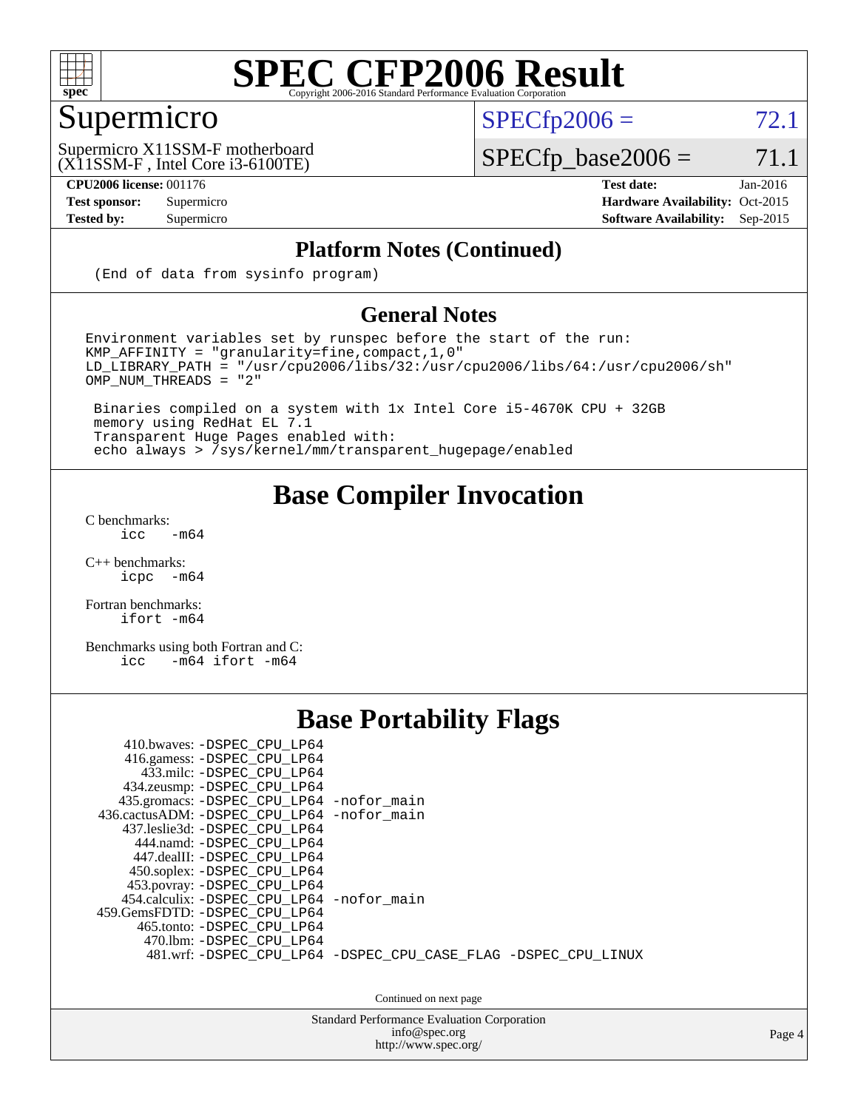

### Supermicro

 $SPECTp2006 = 72.1$ 

(X11SSM-F , Intel Core i3-6100TE) Supermicro X11SSM-F motherboard

 $SPECfp\_base2006 = 71.1$ 

**[CPU2006 license:](http://www.spec.org/auto/cpu2006/Docs/result-fields.html#CPU2006license)** 001176 **[Test date:](http://www.spec.org/auto/cpu2006/Docs/result-fields.html#Testdate)** Jan-2016 **[Test sponsor:](http://www.spec.org/auto/cpu2006/Docs/result-fields.html#Testsponsor)** Supermicro Supermicro **[Hardware Availability:](http://www.spec.org/auto/cpu2006/Docs/result-fields.html#HardwareAvailability)** Oct-2015 **[Tested by:](http://www.spec.org/auto/cpu2006/Docs/result-fields.html#Testedby)** Supermicro **[Software Availability:](http://www.spec.org/auto/cpu2006/Docs/result-fields.html#SoftwareAvailability)** Sep-2015

#### **[Platform Notes \(Continued\)](http://www.spec.org/auto/cpu2006/Docs/result-fields.html#PlatformNotes)**

(End of data from sysinfo program)

#### **[General Notes](http://www.spec.org/auto/cpu2006/Docs/result-fields.html#GeneralNotes)**

Environment variables set by runspec before the start of the run: KMP\_AFFINITY = "granularity=fine,compact,1,0"  $LD$ \_LIBRARY\_PATH = "/usr/cpu2006/libs/32:/usr/cpu2006/libs/64:/usr/cpu2006/sh" OMP\_NUM\_THREADS = "2"

 Binaries compiled on a system with 1x Intel Core i5-4670K CPU + 32GB memory using RedHat EL 7.1 Transparent Huge Pages enabled with: echo always > /sys/kernel/mm/transparent\_hugepage/enabled

#### **[Base Compiler Invocation](http://www.spec.org/auto/cpu2006/Docs/result-fields.html#BaseCompilerInvocation)**

[C benchmarks](http://www.spec.org/auto/cpu2006/Docs/result-fields.html#Cbenchmarks):  $\text{icc}$  -m64

 $C++$  benchmarks:<br>icpc  $-m$ -m64

[Fortran benchmarks](http://www.spec.org/auto/cpu2006/Docs/result-fields.html#Fortranbenchmarks): [ifort -m64](http://www.spec.org/cpu2006/results/res2016q1/cpu2006-20160107-38620.flags.html#user_FCbase_intel_ifort_64bit_ee9d0fb25645d0210d97eb0527dcc06e)

[Benchmarks using both Fortran and C](http://www.spec.org/auto/cpu2006/Docs/result-fields.html#BenchmarksusingbothFortranandC): [icc -m64](http://www.spec.org/cpu2006/results/res2016q1/cpu2006-20160107-38620.flags.html#user_CC_FCbase_intel_icc_64bit_0b7121f5ab7cfabee23d88897260401c) [ifort -m64](http://www.spec.org/cpu2006/results/res2016q1/cpu2006-20160107-38620.flags.html#user_CC_FCbase_intel_ifort_64bit_ee9d0fb25645d0210d97eb0527dcc06e)

#### **[Base Portability Flags](http://www.spec.org/auto/cpu2006/Docs/result-fields.html#BasePortabilityFlags)**

| 410.bwaves: -DSPEC CPU LP64<br>416.gamess: -DSPEC_CPU_LP64<br>433.milc: -DSPEC CPU LP64<br>434.zeusmp: -DSPEC_CPU_LP64<br>435.gromacs: -DSPEC_CPU_LP64 -nofor_main<br>436.cactusADM: -DSPEC CPU LP64 -nofor main<br>437.leslie3d: -DSPEC CPU LP64<br>444.namd: -DSPEC CPU LP64<br>447.dealII: -DSPEC CPU LP64 |                                                                |
|---------------------------------------------------------------------------------------------------------------------------------------------------------------------------------------------------------------------------------------------------------------------------------------------------------------|----------------------------------------------------------------|
| 450.soplex: -DSPEC_CPU_LP64<br>453.povray: -DSPEC_CPU_LP64<br>454.calculix: -DSPEC CPU LP64 -nofor main<br>459.GemsFDTD: -DSPEC CPU LP64<br>465.tonto: - DSPEC CPU LP64<br>470.1bm: - DSPEC CPU LP64                                                                                                          | 481.wrf: -DSPEC CPU_LP64 -DSPEC_CPU_CASE_FLAG -DSPEC_CPU_LINUX |

Continued on next page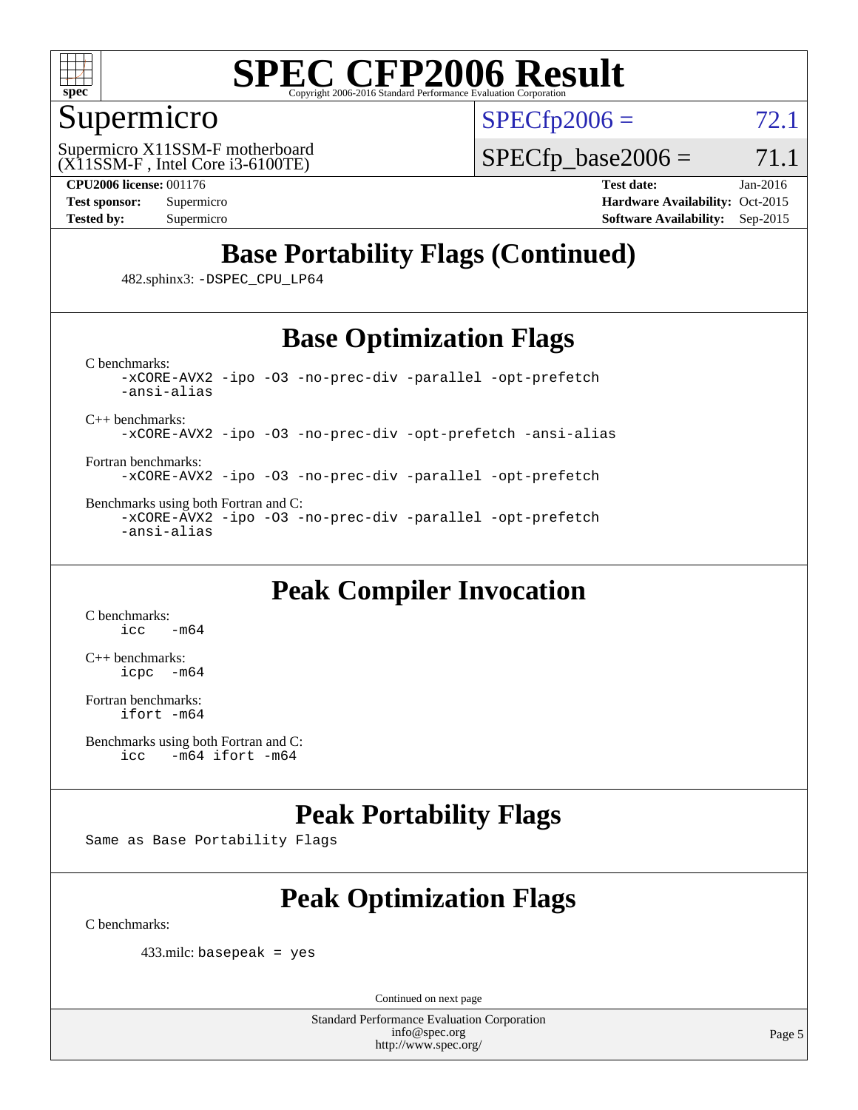

#### Supermicro

 $SPECTp2006 = 72.1$ 

(X11SSM-F , Intel Core i3-6100TE) Supermicro X11SSM-F motherboard

 $SPECTp\_base2006 = 71.1$ 

**[CPU2006 license:](http://www.spec.org/auto/cpu2006/Docs/result-fields.html#CPU2006license)** 001176 **[Test date:](http://www.spec.org/auto/cpu2006/Docs/result-fields.html#Testdate)** Jan-2016 **[Test sponsor:](http://www.spec.org/auto/cpu2006/Docs/result-fields.html#Testsponsor)** Supermicro Supermicro **[Hardware Availability:](http://www.spec.org/auto/cpu2006/Docs/result-fields.html#HardwareAvailability)** Oct-2015 **[Tested by:](http://www.spec.org/auto/cpu2006/Docs/result-fields.html#Testedby)** Supermicro **Supermicro [Software Availability:](http://www.spec.org/auto/cpu2006/Docs/result-fields.html#SoftwareAvailability)** Sep-2015

#### **[Base Portability Flags \(Continued\)](http://www.spec.org/auto/cpu2006/Docs/result-fields.html#BasePortabilityFlags)**

482.sphinx3: [-DSPEC\\_CPU\\_LP64](http://www.spec.org/cpu2006/results/res2016q1/cpu2006-20160107-38620.flags.html#suite_basePORTABILITY482_sphinx3_DSPEC_CPU_LP64)

#### **[Base Optimization Flags](http://www.spec.org/auto/cpu2006/Docs/result-fields.html#BaseOptimizationFlags)**

[C benchmarks](http://www.spec.org/auto/cpu2006/Docs/result-fields.html#Cbenchmarks): [-xCORE-AVX2](http://www.spec.org/cpu2006/results/res2016q1/cpu2006-20160107-38620.flags.html#user_CCbase_f-xAVX2_5f5fc0cbe2c9f62c816d3e45806c70d7) [-ipo](http://www.spec.org/cpu2006/results/res2016q1/cpu2006-20160107-38620.flags.html#user_CCbase_f-ipo) [-O3](http://www.spec.org/cpu2006/results/res2016q1/cpu2006-20160107-38620.flags.html#user_CCbase_f-O3) [-no-prec-div](http://www.spec.org/cpu2006/results/res2016q1/cpu2006-20160107-38620.flags.html#user_CCbase_f-no-prec-div) [-parallel](http://www.spec.org/cpu2006/results/res2016q1/cpu2006-20160107-38620.flags.html#user_CCbase_f-parallel) [-opt-prefetch](http://www.spec.org/cpu2006/results/res2016q1/cpu2006-20160107-38620.flags.html#user_CCbase_f-opt-prefetch) [-ansi-alias](http://www.spec.org/cpu2006/results/res2016q1/cpu2006-20160107-38620.flags.html#user_CCbase_f-ansi-alias)

[C++ benchmarks:](http://www.spec.org/auto/cpu2006/Docs/result-fields.html#CXXbenchmarks)

[-xCORE-AVX2](http://www.spec.org/cpu2006/results/res2016q1/cpu2006-20160107-38620.flags.html#user_CXXbase_f-xAVX2_5f5fc0cbe2c9f62c816d3e45806c70d7) [-ipo](http://www.spec.org/cpu2006/results/res2016q1/cpu2006-20160107-38620.flags.html#user_CXXbase_f-ipo) [-O3](http://www.spec.org/cpu2006/results/res2016q1/cpu2006-20160107-38620.flags.html#user_CXXbase_f-O3) [-no-prec-div](http://www.spec.org/cpu2006/results/res2016q1/cpu2006-20160107-38620.flags.html#user_CXXbase_f-no-prec-div) [-opt-prefetch](http://www.spec.org/cpu2006/results/res2016q1/cpu2006-20160107-38620.flags.html#user_CXXbase_f-opt-prefetch) [-ansi-alias](http://www.spec.org/cpu2006/results/res2016q1/cpu2006-20160107-38620.flags.html#user_CXXbase_f-ansi-alias)

[Fortran benchmarks](http://www.spec.org/auto/cpu2006/Docs/result-fields.html#Fortranbenchmarks): [-xCORE-AVX2](http://www.spec.org/cpu2006/results/res2016q1/cpu2006-20160107-38620.flags.html#user_FCbase_f-xAVX2_5f5fc0cbe2c9f62c816d3e45806c70d7) [-ipo](http://www.spec.org/cpu2006/results/res2016q1/cpu2006-20160107-38620.flags.html#user_FCbase_f-ipo) [-O3](http://www.spec.org/cpu2006/results/res2016q1/cpu2006-20160107-38620.flags.html#user_FCbase_f-O3) [-no-prec-div](http://www.spec.org/cpu2006/results/res2016q1/cpu2006-20160107-38620.flags.html#user_FCbase_f-no-prec-div) [-parallel](http://www.spec.org/cpu2006/results/res2016q1/cpu2006-20160107-38620.flags.html#user_FCbase_f-parallel) [-opt-prefetch](http://www.spec.org/cpu2006/results/res2016q1/cpu2006-20160107-38620.flags.html#user_FCbase_f-opt-prefetch)

[Benchmarks using both Fortran and C](http://www.spec.org/auto/cpu2006/Docs/result-fields.html#BenchmarksusingbothFortranandC): [-xCORE-AVX2](http://www.spec.org/cpu2006/results/res2016q1/cpu2006-20160107-38620.flags.html#user_CC_FCbase_f-xAVX2_5f5fc0cbe2c9f62c816d3e45806c70d7) [-ipo](http://www.spec.org/cpu2006/results/res2016q1/cpu2006-20160107-38620.flags.html#user_CC_FCbase_f-ipo) [-O3](http://www.spec.org/cpu2006/results/res2016q1/cpu2006-20160107-38620.flags.html#user_CC_FCbase_f-O3) [-no-prec-div](http://www.spec.org/cpu2006/results/res2016q1/cpu2006-20160107-38620.flags.html#user_CC_FCbase_f-no-prec-div) [-parallel](http://www.spec.org/cpu2006/results/res2016q1/cpu2006-20160107-38620.flags.html#user_CC_FCbase_f-parallel) [-opt-prefetch](http://www.spec.org/cpu2006/results/res2016q1/cpu2006-20160107-38620.flags.html#user_CC_FCbase_f-opt-prefetch) [-ansi-alias](http://www.spec.org/cpu2006/results/res2016q1/cpu2006-20160107-38620.flags.html#user_CC_FCbase_f-ansi-alias)

#### **[Peak Compiler Invocation](http://www.spec.org/auto/cpu2006/Docs/result-fields.html#PeakCompilerInvocation)**

[C benchmarks](http://www.spec.org/auto/cpu2006/Docs/result-fields.html#Cbenchmarks):  $-m64$ 

[C++ benchmarks:](http://www.spec.org/auto/cpu2006/Docs/result-fields.html#CXXbenchmarks) [icpc -m64](http://www.spec.org/cpu2006/results/res2016q1/cpu2006-20160107-38620.flags.html#user_CXXpeak_intel_icpc_64bit_bedb90c1146cab66620883ef4f41a67e)

[Fortran benchmarks](http://www.spec.org/auto/cpu2006/Docs/result-fields.html#Fortranbenchmarks): [ifort -m64](http://www.spec.org/cpu2006/results/res2016q1/cpu2006-20160107-38620.flags.html#user_FCpeak_intel_ifort_64bit_ee9d0fb25645d0210d97eb0527dcc06e)

#### **[Peak Portability Flags](http://www.spec.org/auto/cpu2006/Docs/result-fields.html#PeakPortabilityFlags)**

Same as Base Portability Flags

### **[Peak Optimization Flags](http://www.spec.org/auto/cpu2006/Docs/result-fields.html#PeakOptimizationFlags)**

[C benchmarks](http://www.spec.org/auto/cpu2006/Docs/result-fields.html#Cbenchmarks):

433.milc: basepeak = yes

Continued on next page

[Benchmarks using both Fortran and C](http://www.spec.org/auto/cpu2006/Docs/result-fields.html#BenchmarksusingbothFortranandC): [icc -m64](http://www.spec.org/cpu2006/results/res2016q1/cpu2006-20160107-38620.flags.html#user_CC_FCpeak_intel_icc_64bit_0b7121f5ab7cfabee23d88897260401c) [ifort -m64](http://www.spec.org/cpu2006/results/res2016q1/cpu2006-20160107-38620.flags.html#user_CC_FCpeak_intel_ifort_64bit_ee9d0fb25645d0210d97eb0527dcc06e)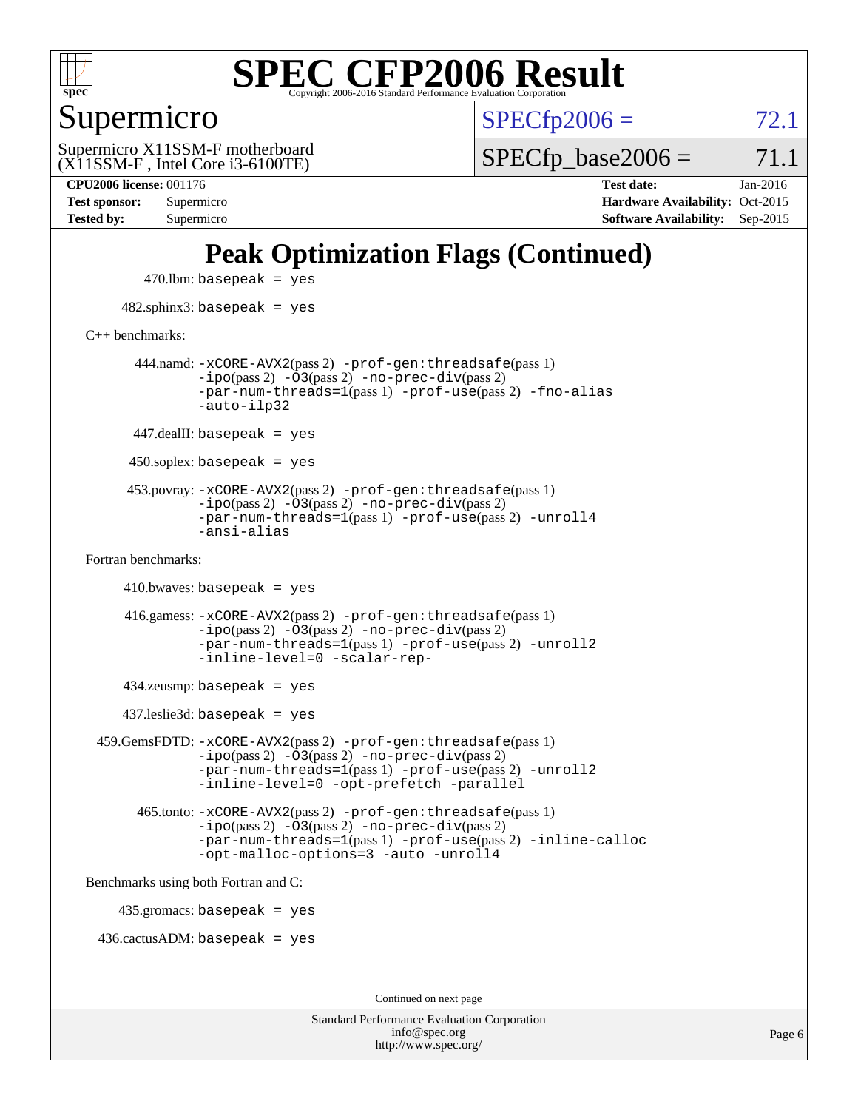

Supermicro

 $SPECTp2006 = 72.1$ 

(X11SSM-F , Intel Core i3-6100TE) Supermicro X11SSM-F motherboard  $SPECTp\_base2006 = 71.1$ 

Page 6

**[CPU2006 license:](http://www.spec.org/auto/cpu2006/Docs/result-fields.html#CPU2006license)** 001176 **[Test date:](http://www.spec.org/auto/cpu2006/Docs/result-fields.html#Testdate)** Jan-2016 **[Test sponsor:](http://www.spec.org/auto/cpu2006/Docs/result-fields.html#Testsponsor)** Supermicro Supermicro **[Hardware Availability:](http://www.spec.org/auto/cpu2006/Docs/result-fields.html#HardwareAvailability)** Oct-2015 **[Tested by:](http://www.spec.org/auto/cpu2006/Docs/result-fields.html#Testedby)** Supermicro **[Software Availability:](http://www.spec.org/auto/cpu2006/Docs/result-fields.html#SoftwareAvailability)** Sep-2015

### **[Peak Optimization Flags \(Continued\)](http://www.spec.org/auto/cpu2006/Docs/result-fields.html#PeakOptimizationFlags)**

 $470$ .lbm: basepeak = yes 482.sphinx3: basepeak = yes [C++ benchmarks:](http://www.spec.org/auto/cpu2006/Docs/result-fields.html#CXXbenchmarks) 444.namd: [-xCORE-AVX2](http://www.spec.org/cpu2006/results/res2016q1/cpu2006-20160107-38620.flags.html#user_peakPASS2_CXXFLAGSPASS2_LDFLAGS444_namd_f-xAVX2_5f5fc0cbe2c9f62c816d3e45806c70d7)(pass 2) [-prof-gen:threadsafe](http://www.spec.org/cpu2006/results/res2016q1/cpu2006-20160107-38620.flags.html#user_peakPASS1_CXXFLAGSPASS1_LDFLAGS444_namd_prof_gen_21a26eb79f378b550acd7bec9fe4467a)(pass 1)  $-i\text{po}(pass 2) -\overline{0}3(pass 2) -no-prec-div(pass 2)$  $-i\text{po}(pass 2) -\overline{0}3(pass 2) -no-prec-div(pass 2)$  $-i\text{po}(pass 2) -\overline{0}3(pass 2) -no-prec-div(pass 2)$ [-par-num-threads=1](http://www.spec.org/cpu2006/results/res2016q1/cpu2006-20160107-38620.flags.html#user_peakPASS1_CXXFLAGSPASS1_LDFLAGS444_namd_par_num_threads_786a6ff141b4e9e90432e998842df6c2)(pass 1) [-prof-use](http://www.spec.org/cpu2006/results/res2016q1/cpu2006-20160107-38620.flags.html#user_peakPASS2_CXXFLAGSPASS2_LDFLAGS444_namd_prof_use_bccf7792157ff70d64e32fe3e1250b55)(pass 2) [-fno-alias](http://www.spec.org/cpu2006/results/res2016q1/cpu2006-20160107-38620.flags.html#user_peakCXXOPTIMIZEOPTIMIZE444_namd_f-no-alias_694e77f6c5a51e658e82ccff53a9e63a) [-auto-ilp32](http://www.spec.org/cpu2006/results/res2016q1/cpu2006-20160107-38620.flags.html#user_peakCXXOPTIMIZE444_namd_f-auto-ilp32)  $447$ .dealII: basepeak = yes 450.soplex: basepeak = yes 453.povray: [-xCORE-AVX2](http://www.spec.org/cpu2006/results/res2016q1/cpu2006-20160107-38620.flags.html#user_peakPASS2_CXXFLAGSPASS2_LDFLAGS453_povray_f-xAVX2_5f5fc0cbe2c9f62c816d3e45806c70d7)(pass 2) [-prof-gen:threadsafe](http://www.spec.org/cpu2006/results/res2016q1/cpu2006-20160107-38620.flags.html#user_peakPASS1_CXXFLAGSPASS1_LDFLAGS453_povray_prof_gen_21a26eb79f378b550acd7bec9fe4467a)(pass 1)  $-ipo(pass 2)$  $-ipo(pass 2)$   $-03(pass 2)$   $-no-prec-div(pass 2)$  $-no-prec-div(pass 2)$ [-par-num-threads=1](http://www.spec.org/cpu2006/results/res2016q1/cpu2006-20160107-38620.flags.html#user_peakPASS1_CXXFLAGSPASS1_LDFLAGS453_povray_par_num_threads_786a6ff141b4e9e90432e998842df6c2)(pass 1) [-prof-use](http://www.spec.org/cpu2006/results/res2016q1/cpu2006-20160107-38620.flags.html#user_peakPASS2_CXXFLAGSPASS2_LDFLAGS453_povray_prof_use_bccf7792157ff70d64e32fe3e1250b55)(pass 2) [-unroll4](http://www.spec.org/cpu2006/results/res2016q1/cpu2006-20160107-38620.flags.html#user_peakCXXOPTIMIZE453_povray_f-unroll_4e5e4ed65b7fd20bdcd365bec371b81f) [-ansi-alias](http://www.spec.org/cpu2006/results/res2016q1/cpu2006-20160107-38620.flags.html#user_peakCXXOPTIMIZE453_povray_f-ansi-alias) [Fortran benchmarks](http://www.spec.org/auto/cpu2006/Docs/result-fields.html#Fortranbenchmarks):  $410.bwaves: basepeak = yes$  416.gamess: [-xCORE-AVX2](http://www.spec.org/cpu2006/results/res2016q1/cpu2006-20160107-38620.flags.html#user_peakPASS2_FFLAGSPASS2_LDFLAGS416_gamess_f-xAVX2_5f5fc0cbe2c9f62c816d3e45806c70d7)(pass 2) [-prof-gen:threadsafe](http://www.spec.org/cpu2006/results/res2016q1/cpu2006-20160107-38620.flags.html#user_peakPASS1_FFLAGSPASS1_LDFLAGS416_gamess_prof_gen_21a26eb79f378b550acd7bec9fe4467a)(pass 1)  $-i\text{po}(pass 2)$   $-\tilde{O}3(pass 2)$   $-no-prec-div(pass 2)$  $-no-prec-div(pass 2)$ [-par-num-threads=1](http://www.spec.org/cpu2006/results/res2016q1/cpu2006-20160107-38620.flags.html#user_peakPASS1_FFLAGSPASS1_LDFLAGS416_gamess_par_num_threads_786a6ff141b4e9e90432e998842df6c2)(pass 1) [-prof-use](http://www.spec.org/cpu2006/results/res2016q1/cpu2006-20160107-38620.flags.html#user_peakPASS2_FFLAGSPASS2_LDFLAGS416_gamess_prof_use_bccf7792157ff70d64e32fe3e1250b55)(pass 2) [-unroll2](http://www.spec.org/cpu2006/results/res2016q1/cpu2006-20160107-38620.flags.html#user_peakOPTIMIZE416_gamess_f-unroll_784dae83bebfb236979b41d2422d7ec2) [-inline-level=0](http://www.spec.org/cpu2006/results/res2016q1/cpu2006-20160107-38620.flags.html#user_peakOPTIMIZE416_gamess_f-inline-level_318d07a09274ad25e8d15dbfaa68ba50) [-scalar-rep-](http://www.spec.org/cpu2006/results/res2016q1/cpu2006-20160107-38620.flags.html#user_peakOPTIMIZE416_gamess_f-disablescalarrep_abbcad04450fb118e4809c81d83c8a1d) 434.zeusmp: basepeak = yes 437.leslie3d: basepeak = yes 459.GemsFDTD: [-xCORE-AVX2](http://www.spec.org/cpu2006/results/res2016q1/cpu2006-20160107-38620.flags.html#user_peakPASS2_FFLAGSPASS2_LDFLAGS459_GemsFDTD_f-xAVX2_5f5fc0cbe2c9f62c816d3e45806c70d7)(pass 2) [-prof-gen:threadsafe](http://www.spec.org/cpu2006/results/res2016q1/cpu2006-20160107-38620.flags.html#user_peakPASS1_FFLAGSPASS1_LDFLAGS459_GemsFDTD_prof_gen_21a26eb79f378b550acd7bec9fe4467a)(pass 1)  $-i\text{po}(pass 2) -\overline{0}3(pass 2) -no-prec-div(pass 2)$  $-i\text{po}(pass 2) -\overline{0}3(pass 2) -no-prec-div(pass 2)$  $-i\text{po}(pass 2) -\overline{0}3(pass 2) -no-prec-div(pass 2)$ [-par-num-threads=1](http://www.spec.org/cpu2006/results/res2016q1/cpu2006-20160107-38620.flags.html#user_peakPASS1_FFLAGSPASS1_LDFLAGS459_GemsFDTD_par_num_threads_786a6ff141b4e9e90432e998842df6c2)(pass 1) [-prof-use](http://www.spec.org/cpu2006/results/res2016q1/cpu2006-20160107-38620.flags.html#user_peakPASS2_FFLAGSPASS2_LDFLAGS459_GemsFDTD_prof_use_bccf7792157ff70d64e32fe3e1250b55)(pass 2) [-unroll2](http://www.spec.org/cpu2006/results/res2016q1/cpu2006-20160107-38620.flags.html#user_peakOPTIMIZE459_GemsFDTD_f-unroll_784dae83bebfb236979b41d2422d7ec2) [-inline-level=0](http://www.spec.org/cpu2006/results/res2016q1/cpu2006-20160107-38620.flags.html#user_peakOPTIMIZE459_GemsFDTD_f-inline-level_318d07a09274ad25e8d15dbfaa68ba50) [-opt-prefetch](http://www.spec.org/cpu2006/results/res2016q1/cpu2006-20160107-38620.flags.html#user_peakOPTIMIZE459_GemsFDTD_f-opt-prefetch) [-parallel](http://www.spec.org/cpu2006/results/res2016q1/cpu2006-20160107-38620.flags.html#user_peakOPTIMIZE459_GemsFDTD_f-parallel) 465.tonto: [-xCORE-AVX2](http://www.spec.org/cpu2006/results/res2016q1/cpu2006-20160107-38620.flags.html#user_peakPASS2_FFLAGSPASS2_LDFLAGS465_tonto_f-xAVX2_5f5fc0cbe2c9f62c816d3e45806c70d7)(pass 2) [-prof-gen:threadsafe](http://www.spec.org/cpu2006/results/res2016q1/cpu2006-20160107-38620.flags.html#user_peakPASS1_FFLAGSPASS1_LDFLAGS465_tonto_prof_gen_21a26eb79f378b550acd7bec9fe4467a)(pass 1)  $-i\text{po}(pass 2) -\overline{O}3(pass 2)$  [-no-prec-div](http://www.spec.org/cpu2006/results/res2016q1/cpu2006-20160107-38620.flags.html#user_peakPASS2_FFLAGSPASS2_LDFLAGS465_tonto_f-no-prec-div)(pass 2) [-par-num-threads=1](http://www.spec.org/cpu2006/results/res2016q1/cpu2006-20160107-38620.flags.html#user_peakPASS1_FFLAGSPASS1_LDFLAGS465_tonto_par_num_threads_786a6ff141b4e9e90432e998842df6c2)(pass 1) [-prof-use](http://www.spec.org/cpu2006/results/res2016q1/cpu2006-20160107-38620.flags.html#user_peakPASS2_FFLAGSPASS2_LDFLAGS465_tonto_prof_use_bccf7792157ff70d64e32fe3e1250b55)(pass 2) [-inline-calloc](http://www.spec.org/cpu2006/results/res2016q1/cpu2006-20160107-38620.flags.html#user_peakOPTIMIZE465_tonto_f-inline-calloc) [-opt-malloc-options=3](http://www.spec.org/cpu2006/results/res2016q1/cpu2006-20160107-38620.flags.html#user_peakOPTIMIZE465_tonto_f-opt-malloc-options_13ab9b803cf986b4ee62f0a5998c2238) [-auto](http://www.spec.org/cpu2006/results/res2016q1/cpu2006-20160107-38620.flags.html#user_peakOPTIMIZE465_tonto_f-auto) [-unroll4](http://www.spec.org/cpu2006/results/res2016q1/cpu2006-20160107-38620.flags.html#user_peakOPTIMIZE465_tonto_f-unroll_4e5e4ed65b7fd20bdcd365bec371b81f) [Benchmarks using both Fortran and C](http://www.spec.org/auto/cpu2006/Docs/result-fields.html#BenchmarksusingbothFortranandC): 435.gromacs: basepeak = yes 436.cactusADM: basepeak = yes Continued on next page